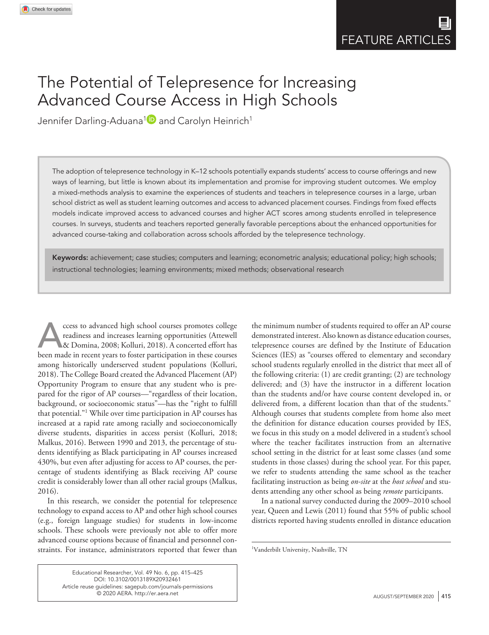# The Potential of Telepresence for Increasing Advanced Course Access in High Schools

Jennifer Darling-Aduana<sup>1</sup> and Carolyn Heinrich<sup>1</sup>

The adoption of telepresence technology in K–12 schools potentially expands students' access to course offerings and new ways of learning, but little is known about its implementation and promise for improving student outcomes. We employ a mixed-methods analysis to examine the experiences of students and teachers in telepresence courses in a large, urban school district as well as student learning outcomes and access to advanced placement courses. Findings from fixed effects models indicate improved access to advanced courses and higher ACT scores among students enrolled in telepresence courses. In surveys, students and teachers reported generally favorable perceptions about the enhanced opportunities for advanced course-taking and collaboration across schools afforded by the telepresence technology.

Keywords: achievement; case studies; computers and learning; econometric analysis; educational policy; high schools; instructional technologies; learning environments; mixed methods; observational research

ccess to advanced high school courses promotes college<br>
readiness and increases learning opportunities (Attewell<br>
& Domina, 2008; Kolluri, 2018). A concerted effort has<br>
been made in recent vears to foster participation in readiness and increases learning opportunities (Attewell been made in recent years to foster participation in these courses among historically underserved student populations (Kolluri, 2018). The College Board created the Advanced Placement (AP) Opportunity Program to ensure that any student who is prepared for the rigor of AP courses—"regardless of their location, background, or socioeconomic status"—has the "right to fulfill that potential."1 While over time participation in AP courses has increased at a rapid rate among racially and socioeconomically diverse students, disparities in access persist (Kolluri, 2018; Malkus, 2016). Between 1990 and 2013, the percentage of students identifying as Black participating in AP courses increased 430%, but even after adjusting for access to AP courses, the percentage of students identifying as Black receiving AP course credit is considerably lower than all other racial groups (Malkus, 2016).

In this research, we consider the potential for telepresence technology to expand access to AP and other high school courses (e.g., foreign language studies) for students in low-income schools. These schools were previously not able to offer more advanced course options because of financial and personnel constraints. For instance, administrators reported that fewer than

the minimum number of students required to offer an AP course demonstrated interest. Also known as distance education courses, telepresence courses are defined by the Institute of Education Sciences (IES) as "courses offered to elementary and secondary school students regularly enrolled in the district that meet all of the following criteria: (1) are credit granting; (2) are technology delivered; and (3) have the instructor in a different location than the students and/or have course content developed in, or delivered from, a different location than that of the students." Although courses that students complete from home also meet the definition for distance education courses provided by IES, we focus in this study on a model delivered in a student's school where the teacher facilitates instruction from an alternative school setting in the district for at least some classes (and some students in those classes) during the school year. For this paper, we refer to students attending the same school as the teacher facilitating instruction as being *on-site* at the *host school* and students attending any other school as being *remote* participants.

In a national survey conducted during the 2009–2010 school year, Queen and Lewis (2011) found that 55% of public school districts reported having students enrolled in distance education

Educational Researcher, Vol. 49 No. 6, pp. 415–425 DOI: 10.3102/0013189X20932461 [Article reuse guidelines: sagepub.com/journals-permissions](https://us.sagepub.com/en-us/journals-permissions)

<sup>1</sup> Vanderbilt University, Nashville, TN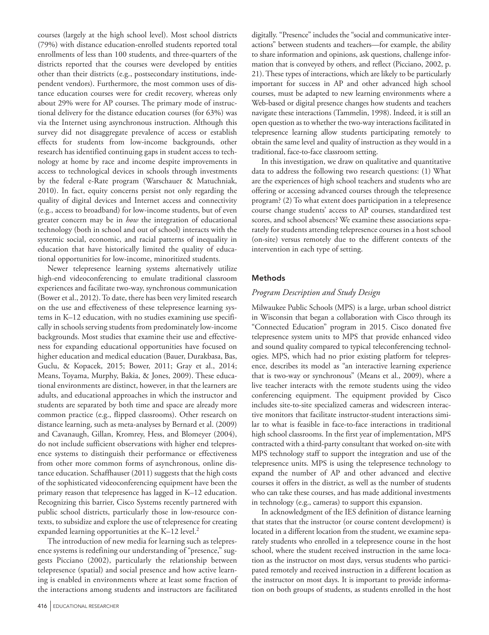courses (largely at the high school level). Most school districts (79%) with distance education-enrolled students reported total enrollments of less than 100 students, and three-quarters of the districts reported that the courses were developed by entities other than their districts (e.g., postsecondary institutions, independent vendors). Furthermore, the most common uses of distance education courses were for credit recovery, whereas only about 29% were for AP courses. The primary mode of instructional delivery for the distance education courses (for 63%) was via the Internet using asynchronous instruction. Although this survey did not disaggregate prevalence of access or establish effects for students from low-income backgrounds, other research has identified continuing gaps in student access to technology at home by race and income despite improvements in access to technological devices in schools through investments by the federal e-Rate program (Warschauer & Matuchniak, 2010). In fact, equity concerns persist not only regarding the quality of digital devices and Internet access and connectivity (e.g., access to broadband) for low-income students, but of even greater concern may be in *how* the integration of educational technology (both in school and out of school) interacts with the systemic social, economic, and racial patterns of inequality in education that have historically limited the quality of educational opportunities for low-income, minoritized students.

Newer telepresence learning systems alternatively utilize high-end videoconferencing to emulate traditional classroom experiences and facilitate two-way, synchronous communication (Bower et al., 2012). To date, there has been very limited research on the use and effectiveness of these telepresence learning systems in K–12 education, with no studies examining use specifically in schools serving students from predominately low-income backgrounds. Most studies that examine their use and effectiveness for expanding educational opportunities have focused on higher education and medical education (Bauer, Durakbasa, Bas, Guclu, & Kopacek, 2015; Bower, 2011; Gray et al., 2014; Means, Toyama, Murphy, Bakia, & Jones, 2009). These educational environments are distinct, however, in that the learners are adults, and educational approaches in which the instructor and students are separated by both time and space are already more common practice (e.g., flipped classrooms). Other research on distance learning, such as meta-analyses by Bernard et al. (2009) and Cavanaugh, Gillan, Kromrey, Hess, and Blomeyer (2004), do not include sufficient observations with higher end telepresence systems to distinguish their performance or effectiveness from other more common forms of asynchronous, online distance education. Schaffhauser (2011) suggests that the high costs of the sophisticated videoconferencing equipment have been the primary reason that telepresence has lagged in K–12 education. Recognizing this barrier, Cisco Systems recently partnered with public school districts, particularly those in low-resource contexts, to subsidize and explore the use of telepresence for creating expanded learning opportunities at the K-12 level.<sup>2</sup>

The introduction of new media for learning such as telepresence systems is redefining our understanding of "presence," suggests Picciano (2002), particularly the relationship between telepresence (spatial) and social presence and how active learning is enabled in environments where at least some fraction of the interactions among students and instructors are facilitated

digitally. "Presence" includes the "social and communicative interactions" between students and teachers—for example, the ability to share information and opinions, ask questions, challenge information that is conveyed by others, and reflect (Picciano, 2002, p. 21). These types of interactions, which are likely to be particularly important for success in AP and other advanced high school courses, must be adapted to new learning environments where a Web-based or digital presence changes how students and teachers navigate these interactions (Tammelin, 1998). Indeed, it is still an open question as to whether the two-way interactions facilitated in telepresence learning allow students participating remotely to obtain the same level and quality of instruction as they would in a traditional, face-to-face classroom setting.

In this investigation, we draw on qualitative and quantitative data to address the following two research questions: (1) What are the experiences of high school teachers and students who are offering or accessing advanced courses through the telepresence program? (2) To what extent does participation in a telepresence course change students' access to AP courses, standardized test scores, and school absences? We examine these associations separately for students attending telepresence courses in a host school (on-site) versus remotely due to the different contexts of the intervention in each type of setting.

## Methods

#### *Program Description and Study Design*

Milwaukee Public Schools (MPS) is a large, urban school district in Wisconsin that began a collaboration with Cisco through its "Connected Education" program in 2015. Cisco donated five telepresence system units to MPS that provide enhanced video and sound quality compared to typical teleconferencing technologies. MPS, which had no prior existing platform for telepresence, describes its model as "an interactive learning experience that is two-way or synchronous" (Means et al., 2009), where a live teacher interacts with the remote students using the video conferencing equipment. The equipment provided by Cisco includes site-to-site specialized cameras and widescreen interactive monitors that facilitate instructor-student interactions similar to what is feasible in face-to-face interactions in traditional high school classrooms. In the first year of implementation, MPS contracted with a third-party consultant that worked on-site with MPS technology staff to support the integration and use of the telepresence units. MPS is using the telepresence technology to expand the number of AP and other advanced and elective courses it offers in the district, as well as the number of students who can take these courses, and has made additional investments in technology (e.g., cameras) to support this expansion.

In acknowledgment of the IES definition of distance learning that states that the instructor (or course content development) is located in a different location from the student, we examine separately students who enrolled in a telepresence course in the host school, where the student received instruction in the same location as the instructor on most days, versus students who participated remotely and received instruction in a different location as the instructor on most days. It is important to provide information on both groups of students, as students enrolled in the host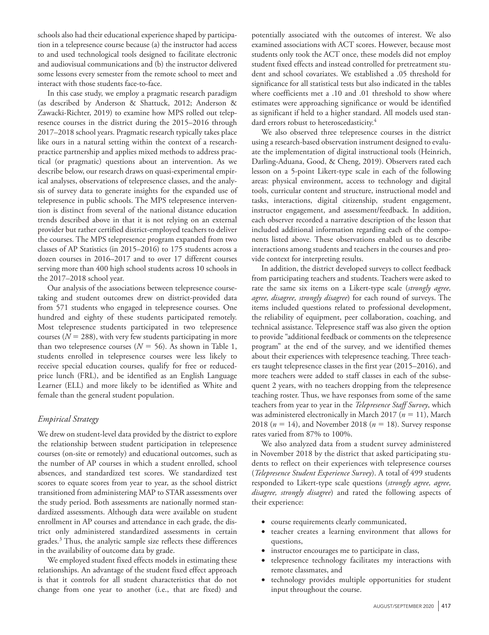schools also had their educational experience shaped by participation in a telepresence course because (a) the instructor had access to and used technological tools designed to facilitate electronic and audiovisual communications and (b) the instructor delivered some lessons every semester from the remote school to meet and interact with those students face-to-face.

In this case study, we employ a pragmatic research paradigm (as described by Anderson & Shattuck, 2012; Anderson & Zawacki-Richter, 2019) to examine how MPS rolled out telepresence courses in the district during the 2015–2016 through 2017–2018 school years. Pragmatic research typically takes place like ours in a natural setting within the context of a researchpractice partnership and applies mixed methods to address practical (or pragmatic) questions about an intervention. As we describe below, our research draws on quasi-experimental empirical analyses, observations of telepresence classes, and the analysis of survey data to generate insights for the expanded use of telepresence in public schools. The MPS telepresence intervention is distinct from several of the national distance education trends described above in that it is not relying on an external provider but rather certified district-employed teachers to deliver the courses. The MPS telepresence program expanded from two classes of AP Statistics (in 2015–2016) to 175 students across a dozen courses in 2016–2017 and to over 17 different courses serving more than 400 high school students across 10 schools in the 2017–2018 school year.

Our analysis of the associations between telepresence coursetaking and student outcomes drew on district-provided data from 571 students who engaged in telepresence courses. One hundred and eighty of these students participated remotely. Most telepresence students participated in two telepresence courses (*N* = 288), with very few students participating in more than two telepresence courses (*N* = 56). As shown in Table 1, students enrolled in telepresence courses were less likely to receive special education courses, qualify for free or reducedprice lunch (FRL), and be identified as an English Language Learner (ELL) and more likely to be identified as White and female than the general student population.

# *Empirical Strategy*

We drew on student-level data provided by the district to explore the relationship between student participation in telepresence courses (on-site or remotely) and educational outcomes, such as the number of AP courses in which a student enrolled, school absences, and standardized test scores. We standardized test scores to equate scores from year to year, as the school district transitioned from administering MAP to STAR assessments over the study period. Both assessments are nationally normed standardized assessments. Although data were available on student enrollment in AP courses and attendance in each grade, the district only administered standardized assessments in certain grades.3 Thus, the analytic sample size reflects these differences in the availability of outcome data by grade.

We employed student fixed effects models in estimating these relationships. An advantage of the student fixed effect approach is that it controls for all student characteristics that do not change from one year to another (i.e., that are fixed) and

potentially associated with the outcomes of interest. We also examined associations with ACT scores. However, because most students only took the ACT once, these models did not employ student fixed effects and instead controlled for pretreatment student and school covariates. We established a .05 threshold for significance for all statistical tests but also indicated in the tables where coefficients met a .10 and .01 threshold to show where estimates were approaching significance or would be identified as significant if held to a higher standard. All models used standard errors robust to heteroscedasticity.<sup>4</sup>

We also observed three telepresence courses in the district using a research-based observation instrument designed to evaluate the implementation of digital instructional tools (Heinrich, Darling-Aduana, Good, & Cheng, 2019). Observers rated each lesson on a 5-point Likert-type scale in each of the following areas: physical environment, access to technology and digital tools, curricular content and structure, instructional model and tasks, interactions, digital citizenship, student engagement, instructor engagement, and assessment/feedback. In addition, each observer recorded a narrative description of the lesson that included additional information regarding each of the components listed above. These observations enabled us to describe interactions among students and teachers in the courses and provide context for interpreting results.

In addition, the district developed surveys to collect feedback from participating teachers and students. Teachers were asked to rate the same six items on a Likert-type scale (*strongly agree, agree, disagree, strongly disagree*) for each round of surveys. The items included questions related to professional development, the reliability of equipment, peer collaboration, coaching, and technical assistance. Telepresence staff was also given the option to provide "additional feedback or comments on the telepresence program" at the end of the survey, and we identified themes about their experiences with telepresence teaching. Three teachers taught telepresence classes in the first year (2015–2016), and more teachers were added to staff classes in each of the subsequent 2 years, with no teachers dropping from the telepresence teaching roster. Thus, we have responses from some of the same teachers from year to year in the *Telepresence Staff Survey*, which was administered electronically in March 2017 (*n* = 11), March 2018 (*n* = 14), and November 2018 (*n* = 18). Survey response rates varied from 87% to 100%.

We also analyzed data from a student survey administered in November 2018 by the district that asked participating students to reflect on their experiences with telepresence courses (*Telepresence Student Experience Survey*). A total of 499 students responded to Likert-type scale questions (*strongly agree, agree, disagree, strongly disagree*) and rated the following aspects of their experience:

- course requirements clearly communicated,
- teacher creates a learning environment that allows for questions,
- instructor encourages me to participate in class,
- telepresence technology facilitates my interactions with remote classmates, and
- technology provides multiple opportunities for student input throughout the course.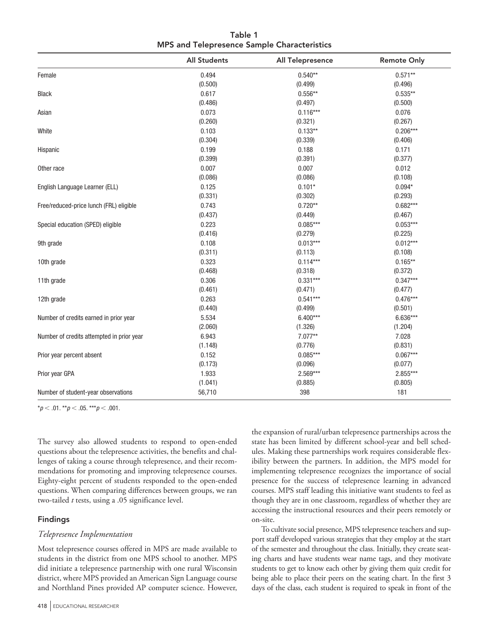| Table 1 |                                                    |
|---------|----------------------------------------------------|
|         | <b>MPS and Telepresence Sample Characteristics</b> |

|                                           | <b>All Students</b> | All Telepresence | <b>Remote Only</b> |
|-------------------------------------------|---------------------|------------------|--------------------|
| Female                                    | 0.494               | $0.540**$        | $0.571***$         |
|                                           | (0.500)             | (0.499)          | (0.496)            |
| <b>Black</b>                              | 0.617               | $0.556**$        | $0.535**$          |
|                                           | (0.486)             | (0.497)          | (0.500)            |
| Asian                                     | 0.073               | $0.116***$       | 0.076              |
|                                           | (0.260)             | (0.321)          | (0.267)            |
| White                                     | 0.103               | $0.133**$        | $0.206***$         |
|                                           | (0.304)             | (0.339)          | (0.406)            |
| Hispanic                                  | 0.199               | 0.188            | 0.171              |
|                                           | (0.399)             | (0.391)          | (0.377)            |
| Other race                                | 0.007               | 0.007            | 0.012              |
|                                           | (0.086)             | (0.086)          | (0.108)            |
| English Language Learner (ELL)            | 0.125               | $0.101*$         | $0.094*$           |
|                                           | (0.331)             | (0.302)          | (0.293)            |
| Free/reduced-price lunch (FRL) eligible   | 0.743               | $0.720**$        | $0.682***$         |
|                                           | (0.437)             | (0.449)          | (0.467)            |
| Special education (SPED) eligible         | 0.223               | $0.085***$       | $0.053***$         |
|                                           | (0.416)             | (0.279)          | (0.225)            |
| 9th grade                                 | 0.108               | $0.013***$       | $0.012***$         |
|                                           | (0.311)             | (0.113)          | (0.108)            |
| 10th grade                                | 0.323               | $0.114***$       | $0.165**$          |
|                                           | (0.468)             | (0.318)          | (0.372)            |
| 11th grade                                | 0.306               | $0.331***$       | $0.347***$         |
|                                           | (0.461)             | (0.471)          | (0.477)            |
| 12th grade                                | 0.263               | $0.541***$       | $0.476***$         |
|                                           | (0.440)             | (0.499)          | (0.501)            |
| Number of credits earned in prior year    | 5.534               | $6.400***$       | 6.636***           |
|                                           | (2.060)             | (1.326)          | (1.204)            |
| Number of credits attempted in prior year | 6.943               | 7.077**          | 7.028              |
|                                           | (1.148)             | (0.776)          | (0.831)            |
| Prior year percent absent                 | 0.152               | $0.085***$       | $0.067***$         |
|                                           | (0.173)             | (0.096)          | (0.077)            |
| Prior year GPA                            | 1.933               | 2.569***         | 2.855***           |
|                                           | (1.041)             | (0.885)          | (0.805)            |
| Number of student-year observations       | 56,710              | 398              | 181                |

\**p* < .01. \*\**p* < .05. \*\*\**p* < .001.

The survey also allowed students to respond to open-ended questions about the telepresence activities, the benefits and challenges of taking a course through telepresence, and their recommendations for promoting and improving telepresence courses. Eighty-eight percent of students responded to the open-ended questions. When comparing differences between groups, we ran two-tailed *t* tests, using a .05 significance level.

# Findings

# *Telepresence Implementation*

Most telepresence courses offered in MPS are made available to students in the district from one MPS school to another. MPS did initiate a telepresence partnership with one rural Wisconsin district, where MPS provided an American Sign Language course and Northland Pines provided AP computer science. However,

the expansion of rural/urban telepresence partnerships across the state has been limited by different school-year and bell schedules. Making these partnerships work requires considerable flexibility between the partners. In addition, the MPS model for implementing telepresence recognizes the importance of social presence for the success of telepresence learning in advanced courses. MPS staff leading this initiative want students to feel as though they are in one classroom, regardless of whether they are accessing the instructional resources and their peers remotely or on-site.

To cultivate social presence, MPS telepresence teachers and support staff developed various strategies that they employ at the start of the semester and throughout the class. Initially, they create seating charts and have students wear name tags, and they motivate students to get to know each other by giving them quiz credit for being able to place their peers on the seating chart. In the first 3 days of the class, each student is required to speak in front of the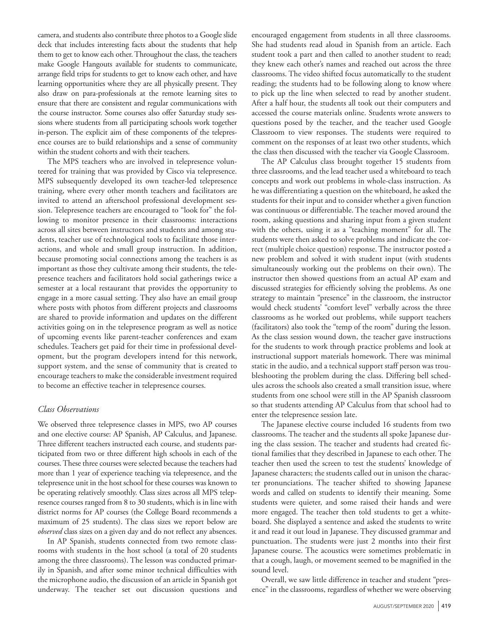camera, and students also contribute three photos to a Google slide deck that includes interesting facts about the students that help them to get to know each other. Throughout the class, the teachers make Google Hangouts available for students to communicate, arrange field trips for students to get to know each other, and have learning opportunities where they are all physically present. They also draw on para-professionals at the remote learning sites to ensure that there are consistent and regular communications with the course instructor. Some courses also offer Saturday study sessions where students from all participating schools work together in-person. The explicit aim of these components of the telepresence courses are to build relationships and a sense of community within the student cohorts and with their teachers.

The MPS teachers who are involved in telepresence volunteered for training that was provided by Cisco via telepresence. MPS subsequently developed its own teacher-led telepresence training, where every other month teachers and facilitators are invited to attend an afterschool professional development session. Telepresence teachers are encouraged to "look for" the following to monitor presence in their classrooms: interactions across all sites between instructors and students and among students, teacher use of technological tools to facilitate those interactions, and whole and small group instruction. In addition, because promoting social connections among the teachers is as important as those they cultivate among their students, the telepresence teachers and facilitators hold social gatherings twice a semester at a local restaurant that provides the opportunity to engage in a more casual setting. They also have an email group where posts with photos from different projects and classrooms are shared to provide information and updates on the different activities going on in the telepresence program as well as notice of upcoming events like parent-teacher conferences and exam schedules. Teachers get paid for their time in professional development, but the program developers intend for this network, support system, and the sense of community that is created to encourage teachers to make the considerable investment required to become an effective teacher in telepresence courses.

## *Class Observations*

We observed three telepresence classes in MPS, two AP courses and one elective course: AP Spanish, AP Calculus, and Japanese. Three different teachers instructed each course, and students participated from two or three different high schools in each of the courses. These three courses were selected because the teachers had more than 1 year of experience teaching via telepresence, and the telepresence unit in the host school for these courses was known to be operating relatively smoothly. Class sizes across all MPS telepresence courses ranged from 8 to 30 students, which is in line with district norms for AP courses (the College Board recommends a maximum of 25 students). The class sizes we report below are *observed* class sizes on a given day and do not reflect any absences.

In AP Spanish, students connected from two remote classrooms with students in the host school (a total of 20 students among the three classrooms). The lesson was conducted primarily in Spanish, and after some minor technical difficulties with the microphone audio, the discussion of an article in Spanish got underway. The teacher set out discussion questions and

encouraged engagement from students in all three classrooms. She had students read aloud in Spanish from an article. Each student took a part and then called to another student to read; they knew each other's names and reached out across the three classrooms. The video shifted focus automatically to the student reading; the students had to be following along to know where to pick up the line when selected to read by another student. After a half hour, the students all took out their computers and accessed the course materials online. Students wrote answers to questions posed by the teacher, and the teacher used Google Classroom to view responses. The students were required to comment on the responses of at least two other students, which the class then discussed with the teacher via Google Classroom.

The AP Calculus class brought together 15 students from three classrooms, and the lead teacher used a whiteboard to teach concepts and work out problems in whole-class instruction. As he was differentiating a question on the whiteboard, he asked the students for their input and to consider whether a given function was continuous or differentiable. The teacher moved around the room, asking questions and sharing input from a given student with the others, using it as a "teaching moment" for all. The students were then asked to solve problems and indicate the correct (multiple choice question) response. The instructor posted a new problem and solved it with student input (with students simultaneously working out the problems on their own). The instructor then showed questions from an actual AP exam and discussed strategies for efficiently solving the problems. As one strategy to maintain "presence" in the classroom, the instructor would check students' "comfort level" verbally across the three classrooms as he worked out problems, while support teachers (facilitators) also took the "temp of the room" during the lesson. As the class session wound down, the teacher gave instructions for the students to work through practice problems and look at instructional support materials homework. There was minimal static in the audio, and a technical support staff person was troubleshooting the problem during the class. Differing bell schedules across the schools also created a small transition issue, where students from one school were still in the AP Spanish classroom so that students attending AP Calculus from that school had to enter the telepresence session late.

The Japanese elective course included 16 students from two classrooms. The teacher and the students all spoke Japanese during the class session. The teacher and students had created fictional families that they described in Japanese to each other. The teacher then used the screen to test the students' knowledge of Japanese characters; the students called out in unison the character pronunciations. The teacher shifted to showing Japanese words and called on students to identify their meaning. Some students were quieter, and some raised their hands and were more engaged. The teacher then told students to get a whiteboard. She displayed a sentence and asked the students to write it and read it out loud in Japanese. They discussed grammar and punctuation. The students were just 2 months into their first Japanese course. The acoustics were sometimes problematic in that a cough, laugh, or movement seemed to be magnified in the sound level.

Overall, we saw little difference in teacher and student "presence" in the classrooms, regardless of whether we were observing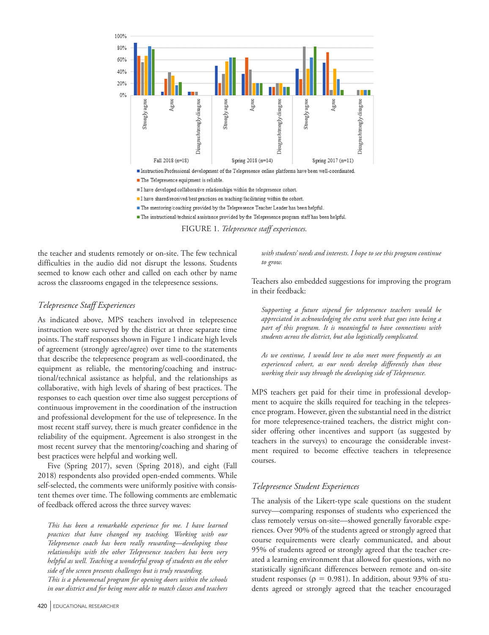

I have shared/received best practices on teaching/facilitating within the cohort.

The mentoring/coaching provided by the Telepresence Teacher Leader has been helpful.

- The instructional/technical assistance provided by the Telepresence program staff has been helpful.
	- Figure 1. *Telepresence staff experiences.*

the teacher and students remotely or on-site. The few technical difficulties in the audio did not disrupt the lessons. Students seemed to know each other and called on each other by name across the classrooms engaged in the telepresence sessions.

### *Telepresence Staff Experiences*

As indicated above, MPS teachers involved in telepresence instruction were surveyed by the district at three separate time points. The staff responses shown in Figure 1 indicate high levels of agreement (strongly agree/agree) over time to the statements that describe the telepresence program as well-coordinated, the equipment as reliable, the mentoring/coaching and instructional/technical assistance as helpful, and the relationships as collaborative, with high levels of sharing of best practices. The responses to each question over time also suggest perceptions of continuous improvement in the coordination of the instruction and professional development for the use of telepresence. In the most recent staff survey, there is much greater confidence in the reliability of the equipment. Agreement is also strongest in the most recent survey that the mentoring/coaching and sharing of best practices were helpful and working well.

Five (Spring 2017), seven (Spring 2018), and eight (Fall 2018) respondents also provided open-ended comments. While self-selected, the comments were uniformly positive with consistent themes over time. The following comments are emblematic of feedback offered across the three survey waves:

*This has been a remarkable experience for me. I have learned practices that have changed my teaching. Working with our Telepresence coach has been really rewarding—developing those relationships with the other Telepresence teachers has been very helpful as well. Teaching a wonderful group of students on the other side of the screen presents challenges but is truly rewarding. This is a phenomenal program for opening doors within the schools in our district and for being more able to match classes and teachers*  *with students' needs and interests. I hope to see this program continue to grow.*

Teachers also embedded suggestions for improving the program in their feedback:

*Supporting a future stipend for telepresence teachers would be appreciated in acknowledging the extra work that goes into being a part of this program. It is meaningful to have connections with students across the district, but also logistically complicated.*

*As we continue, I would love to also meet more frequently as an experienced cohort, as our needs develop differently than those working their way through the developing side of Telepresence.*

MPS teachers get paid for their time in professional development to acquire the skills required for teaching in the telepresence program. However, given the substantial need in the district for more telepresence-trained teachers, the district might consider offering other incentives and support (as suggested by teachers in the surveys) to encourage the considerable investment required to become effective teachers in telepresence courses.

# *Telepresence Student Experiences*

The analysis of the Likert-type scale questions on the student survey—comparing responses of students who experienced the class remotely versus on-site—showed generally favorable experiences. Over 90% of the students agreed or strongly agreed that course requirements were clearly communicated, and about 95% of students agreed or strongly agreed that the teacher created a learning environment that allowed for questions, with no statistically significant differences between remote and on-site student responses ( $\rho = 0.981$ ). In addition, about 93% of students agreed or strongly agreed that the teacher encouraged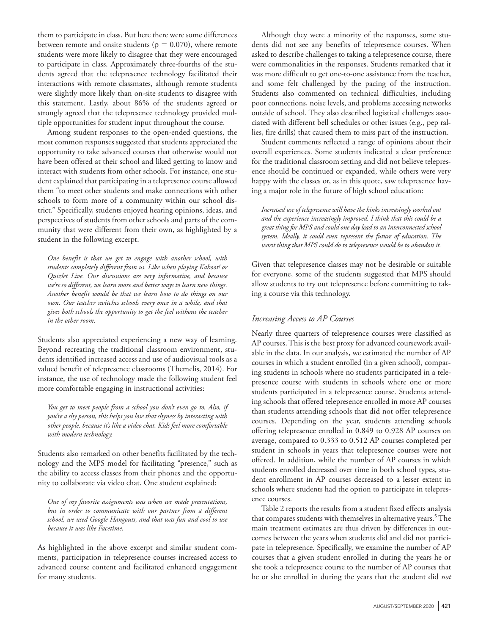them to participate in class. But here there were some differences between remote and onsite students ( $\rho = 0.070$ ), where remote students were more likely to disagree that they were encouraged to participate in class. Approximately three-fourths of the students agreed that the telepresence technology facilitated their interactions with remote classmates, although remote students were slightly more likely than on-site students to disagree with this statement. Lastly, about 86% of the students agreed or strongly agreed that the telepresence technology provided multiple opportunities for student input throughout the course.

Among student responses to the open-ended questions, the most common responses suggested that students appreciated the opportunity to take advanced courses that otherwise would not have been offered at their school and liked getting to know and interact with students from other schools. For instance, one student explained that participating in a telepresence course allowed them "to meet other students and make connections with other schools to form more of a community within our school district." Specifically, students enjoyed hearing opinions, ideas, and perspectives of students from other schools and parts of the community that were different from their own, as highlighted by a student in the following excerpt.

*One benefit is that we get to engage with another school, with students completely different from us. Like when playing Kahoot! or Quizlet Live. Our discussions are very informative, and because we're so different, we learn more and better ways to learn new things. Another benefit would be that we learn how to do things on our own. Our teacher switches schools every once in a while, and that gives both schools the opportunity to get the feel without the teacher in the other room.*

Students also appreciated experiencing a new way of learning. Beyond recreating the traditional classroom environment, students identified increased access and use of audiovisual tools as a valued benefit of telepresence classrooms (Themelis, 2014). For instance, the use of technology made the following student feel more comfortable engaging in instructional activities:

*You get to meet people from a school you don't even go to. Also, if you're a shy person, this helps you lose that shyness by interacting with other people, because it's like a video chat. Kids feel more comfortable with modern technology.*

Students also remarked on other benefits facilitated by the technology and the MPS model for facilitating "presence," such as the ability to access classes from their phones and the opportunity to collaborate via video chat. One student explained:

*One of my favorite assignments was when we made presentations, but in order to communicate with our partner from a different school, we used Google Hangouts, and that was fun and cool to use because it was like Facetime.*

As highlighted in the above excerpt and similar student comments, participation in telepresence courses increased access to advanced course content and facilitated enhanced engagement for many students.

Although they were a minority of the responses, some students did not see any benefits of telepresence courses. When asked to describe challenges to taking a telepresence course, there were commonalities in the responses. Students remarked that it was more difficult to get one-to-one assistance from the teacher, and some felt challenged by the pacing of the instruction. Students also commented on technical difficulties, including poor connections, noise levels, and problems accessing networks outside of school. They also described logistical challenges associated with different bell schedules or other issues (e.g., pep rallies, fire drills) that caused them to miss part of the instruction.

Student comments reflected a range of opinions about their overall experiences. Some students indicated a clear preference for the traditional classroom setting and did not believe telepresence should be continued or expanded, while others were very happy with the classes or, as in this quote, saw telepresence having a major role in the future of high school education:

*Increased use of telepresence will have the kinks increasingly worked out and the experience increasingly improved. I think that this could be a great thing for MPS and could one day lead to an interconnected school system. Ideally, it could even represent the future of education. The worst thing that MPS could do to telepresence would be to abandon it.*

Given that telepresence classes may not be desirable or suitable for everyone, some of the students suggested that MPS should allow students to try out telepresence before committing to taking a course via this technology.

# *Increasing Access to AP Courses*

Nearly three quarters of telepresence courses were classified as AP courses. This is the best proxy for advanced coursework available in the data. In our analysis, we estimated the number of AP courses in which a student enrolled (in a given school), comparing students in schools where no students participated in a telepresence course with students in schools where one or more students participated in a telepresence course. Students attending schools that offered telepresence enrolled in more AP courses than students attending schools that did not offer telepresence courses. Depending on the year, students attending schools offering telepresence enrolled in 0.849 to 0.928 AP courses on average, compared to 0.333 to 0.512 AP courses completed per student in schools in years that telepresence courses were not offered. In addition, while the number of AP courses in which students enrolled decreased over time in both school types, student enrollment in AP courses decreased to a lesser extent in schools where students had the option to participate in telepresence courses.

Table 2 reports the results from a student fixed effects analysis that compares students with themselves in alternative years.<sup>5</sup> The main treatment estimates are thus driven by differences in outcomes between the years when students did and did not participate in telepresence. Specifically, we examine the number of AP courses that a given student enrolled in during the years he or she took a telepresence course to the number of AP courses that he or she enrolled in during the years that the student did *not*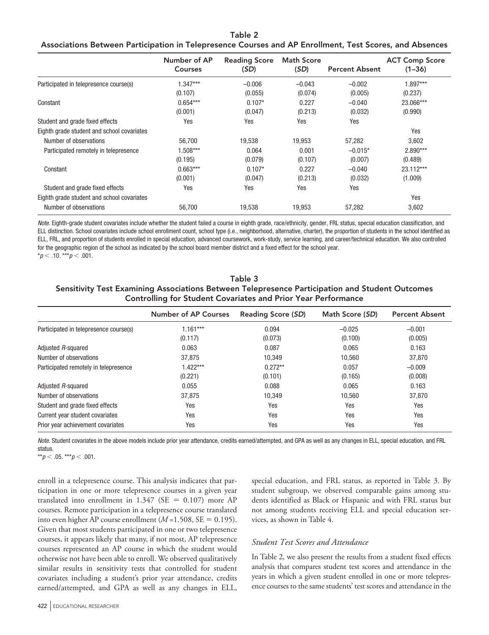|                                                                                                         | Table 2 |  |  |
|---------------------------------------------------------------------------------------------------------|---------|--|--|
| Associations Between Participation in Telepresence Courses and AP Enrollment, Test Scores, and Absences |         |  |  |

|                                            | Number of AP<br><b>Courses</b> | <b>Reading Score</b><br>(SD) | <b>Math Score</b><br>(SD) | <b>Percent Absent</b> | <b>ACT Comp Score</b><br>$(1 - 36)$ |
|--------------------------------------------|--------------------------------|------------------------------|---------------------------|-----------------------|-------------------------------------|
| Participated in telepresence course(s)     | $1.347***$                     | $-0.006$                     | $-0.043$                  | $-0.002$              | $1.897***$                          |
|                                            | (0.107)                        | (0.055)                      | (0.074)                   | (0.005)               | (0.237)                             |
| Constant                                   | $0.654***$                     | $0.107*$                     | 0.227                     | $-0.040$              | 23.066***                           |
|                                            | (0.001)                        | (0.047)                      | (0.213)                   | (0.032)               | (0.990)                             |
| Student and grade fixed effects            | Yes                            | Yes                          | Yes                       | Yes                   |                                     |
| Eighth grade student and school covariates |                                |                              |                           |                       | Yes                                 |
| Number of observations                     | 56.700                         | 19.538                       | 19.953                    | 57,282                | 3.602                               |
| Participated remotely in telepresence      | $1.508***$                     | 0.064                        | 0.001                     | $-0.015*$             | $2.890***$                          |
|                                            | (0.195)                        | (0.079)                      | (0.107)                   | (0.007)               | (0.489)                             |
| Constant                                   | $0.663***$                     | $0.107*$                     | 0.227                     | $-0.040$              | $23.112***$                         |
|                                            | (0.001)                        | (0.047)                      | (0.213)                   | (0.032)               | (1.009)                             |
| Student and grade fixed effects            | Yes                            | Yes                          | Yes                       | Yes                   |                                     |
| Eighth grade student and school covariates |                                |                              |                           |                       | Yes                                 |
| Number of observations                     | 56.700                         | 19,538                       | 19,953                    | 57,282                | 3,602                               |

*Note*. Eighth-grade student covariates include whether the student failed a course in eighth grade, race/ethnicity, gender, FRL status, special education classification, and ELL distinction. School covariates include school enrollment count, school type (i.e., neighborhood, alternative, charter), the proportion of students in the school identified as ELL, FRL, and proportion of students enrolled in special education, advanced coursework, work-study, service learning, and career/technical education. We also controlled for the geographic region of the school as indicated by the school board member district and a fixed effect for the school year. \**p* < .10. \*\*\**p* < .001.

## Table 3 Sensitivity Test Examining Associations Between Telepresence Participation and Student Outcomes Controlling for Student Covariates and Prior Year Performance

|                                        | Number of AP Courses | <b>Reading Score (SD)</b> | Math Score (SD) | <b>Percent Absent</b> |
|----------------------------------------|----------------------|---------------------------|-----------------|-----------------------|
| Participated in telepresence course(s) | $1.161***$           | 0.094                     | $-0.025$        | $-0.001$              |
|                                        | (0.117)              | (0.073)                   | (0.100)         | (0.005)               |
| Adjusted R-squared                     | 0.063                | 0.087                     | 0.065           | 0.163                 |
| Number of observations                 | 37.875               | 10.349                    | 10.560          | 37,870                |
| Participated remotely in telepresence  | $.422***$            | $0.272**$                 | 0.057           | $-0.009$              |
|                                        | (0.221)              | (0.101)                   | (0.165)         | (0.008)               |
| Adjusted R-squared                     | 0.055                | 0.088                     | 0.065           | 0.163                 |
| Number of observations                 | 37.875               | 10.349                    | 10.560          | 37.870                |
| Student and grade fixed effects        | Yes                  | Yes                       | Yes             | Yes                   |
| Current year student covariates        | Yes                  | Yes                       | Yes             | Yes                   |
| Prior year achievement covariates      | Yes                  | Yes                       | Yes             | Yes                   |

*Note*. Student covariates in the above models include prior year attendance, credits earned/attempted, and GPA as well as any changes in ELL, special education, and FRL status.

\*\* $p < .05$ . \*\*\* $p < .001$ .

enroll in a telepresence course. This analysis indicates that participation in one or more telepresence courses in a given year translated into enrollment in  $1.347$  (SE = 0.107) more AP courses. Remote participation in a telepresence course translated into even higher AP course enrollment  $(M=1.508, SE = 0.195)$ . Given that most students participated in one or two telepresence courses, it appears likely that many, if not most, AP telepresence courses represented an AP course in which the student would otherwise not have been able to enroll. We observed qualitatively similar results in sensitivity tests that controlled for student covariates including a student's prior year attendance, credits earned/attempted, and GPA as well as any changes in ELL, special education, and FRL status, as reported in Table 3. By student subgroup, we observed comparable gains among students identified as Black or Hispanic and with FRL status but not among students receiving ELL and special education services, as shown in Table 4.

# *Student Test Scores and Attendance*

In Table 2, we also present the results from a student fixed effects analysis that compares student test scores and attendance in the years in which a given student enrolled in one or more telepresence courses to the same students' test scores and attendance in the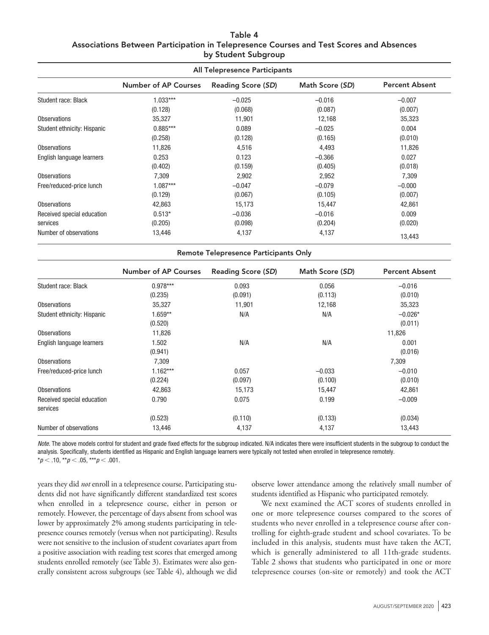Table 4 Associations Between Participation in Telepresence Courses and Test Scores and Absences by Student Subgroup

| All Telepresence Participants |                             |                           |                 |                       |  |
|-------------------------------|-----------------------------|---------------------------|-----------------|-----------------------|--|
|                               | <b>Number of AP Courses</b> | <b>Reading Score (SD)</b> | Math Score (SD) | <b>Percent Absent</b> |  |
| Student race: Black           | $1.033***$                  | $-0.025$                  | $-0.016$        | $-0.007$              |  |
|                               | (0.128)                     | (0.068)                   | (0.087)         | (0.007)               |  |
| Observations                  | 35,327                      | 11,901                    | 12,168          | 35,323                |  |
| Student ethnicity: Hispanic   | $0.885***$                  | 0.089                     | $-0.025$        | 0.004                 |  |
|                               | (0.258)                     | (0.128)                   | (0.165)         | (0.010)               |  |
| <b>Observations</b>           | 11,826                      | 4,516                     | 4,493           | 11,826                |  |
| English language learners     | 0.253                       | 0.123                     | $-0.366$        | 0.027                 |  |
|                               | (0.402)                     | (0.159)                   | (0.405)         | (0.018)               |  |
| Observations                  | 7,309                       | 2,902                     | 2,952           | 7,309                 |  |
| Free/reduced-price lunch      | $1.087***$                  | $-0.047$                  | $-0.079$        | $-0.000$              |  |
|                               | (0.129)                     | (0.067)                   | (0.105)         | (0.007)               |  |
| <b>Observations</b>           | 42,863                      | 15,173                    | 15,447          | 42,861                |  |
| Received special education    | $0.513*$                    | $-0.036$                  | $-0.016$        | 0.009                 |  |
| services                      | (0.205)                     | (0.098)                   | (0.204)         | (0.020)               |  |
| Number of observations        | 13,446                      | 4,137                     | 4,137           | 13,443                |  |

|  |  |  | Remote Telepresence Participants Only |
|--|--|--|---------------------------------------|
|--|--|--|---------------------------------------|

|                             | <b>Number of AP Courses</b> | <b>Reading Score (SD)</b> | Math Score (SD) | <b>Percent Absent</b> |
|-----------------------------|-----------------------------|---------------------------|-----------------|-----------------------|
| Student race: Black         | $0.978***$                  | 0.093                     | 0.056           | $-0.016$              |
|                             | (0.235)                     | (0.091)                   | (0.113)         | (0.010)               |
| <b>Observations</b>         | 35,327                      | 11,901                    | 12,168          | 35,323                |
| Student ethnicity: Hispanic | $1.659**$                   | N/A                       | N/A             | $-0.026*$             |
|                             | (0.520)                     |                           |                 | (0.011)               |
| Observations                | 11,826                      |                           |                 | 11,826                |
| English language learners   | 1.502                       | N/A                       | N/A             | 0.001                 |
|                             | (0.941)                     |                           |                 | (0.016)               |
| <b>Observations</b>         | 7,309                       |                           |                 | 7,309                 |
| Free/reduced-price lunch    | $1.162***$                  | 0.057                     | $-0.033$        | $-0.010$              |
|                             | (0.224)                     | (0.097)                   | (0.100)         | (0.010)               |
| <b>Observations</b>         | 42,863                      | 15,173                    | 15,447          | 42,861                |
| Received special education  | 0.790                       | 0.075                     | 0.199           | $-0.009$              |
| services                    |                             |                           |                 |                       |
|                             | (0.523)                     | (0.110)                   | (0.133)         | (0.034)               |
| Number of observations      | 13,446                      | 4,137                     | 4,137           | 13,443                |

*Note*. The above models control for student and grade fixed effects for the subgroup indicated. N/A indicates there were insufficient students in the subgroup to conduct the analysis. Specifically, students identified as Hispanic and English language learners were typically not tested when enrolled in telepresence remotely. \**p* < .10, \*\**p* < .05, \*\*\**p* < .001.

years they did *not* enroll in a telepresence course. Participating students did not have significantly different standardized test scores when enrolled in a telepresence course, either in person or remotely. However, the percentage of days absent from school was lower by approximately 2% among students participating in telepresence courses remotely (versus when not participating). Results were not sensitive to the inclusion of student covariates apart from a positive association with reading test scores that emerged among students enrolled remotely (see Table 3). Estimates were also generally consistent across subgroups (see Table 4), although we did observe lower attendance among the relatively small number of students identified as Hispanic who participated remotely.

We next examined the ACT scores of students enrolled in one or more telepresence courses compared to the scores of students who never enrolled in a telepresence course after controlling for eighth-grade student and school covariates. To be included in this analysis, students must have taken the ACT, which is generally administered to all 11th-grade students. Table 2 shows that students who participated in one or more telepresence courses (on-site or remotely) and took the ACT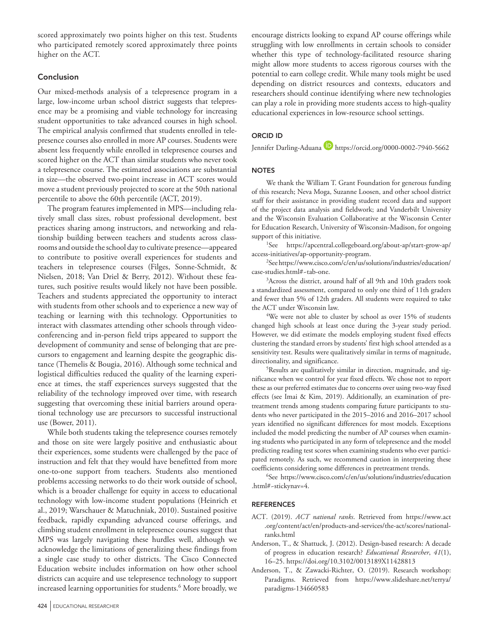scored approximately two points higher on this test. Students who participated remotely scored approximately three points higher on the ACT.

# Conclusion

Our mixed-methods analysis of a telepresence program in a large, low-income urban school district suggests that telepresence may be a promising and viable technology for increasing student opportunities to take advanced courses in high school. The empirical analysis confirmed that students enrolled in telepresence courses also enrolled in more AP courses. Students were absent less frequently while enrolled in telepresence courses and scored higher on the ACT than similar students who never took a telepresence course. The estimated associations are substantial in size—the observed two-point increase in ACT scores would move a student previously projected to score at the 50th national percentile to above the 60th percentile (ACT, 2019).

The program features implemented in MPS—including relatively small class sizes, robust professional development, best practices sharing among instructors, and networking and relationship building between teachers and students across classrooms and outside the school day to cultivate presence—appeared to contribute to positive overall experiences for students and teachers in telepresence courses (Filges, Sonne-Schmidt, & Nielsen, 2018; Van Driel & Berry, 2012). Without these features, such positive results would likely not have been possible. Teachers and students appreciated the opportunity to interact with students from other schools and to experience a new way of teaching or learning with this technology. Opportunities to interact with classmates attending other schools through videoconferencing and in-person field trips appeared to support the development of community and sense of belonging that are precursors to engagement and learning despite the geographic distance (Themelis & Bougia, 2016). Although some technical and logistical difficulties reduced the quality of the learning experience at times, the staff experiences surveys suggested that the reliability of the technology improved over time, with research suggesting that overcoming these initial barriers around operational technology use are precursors to successful instructional use (Bower, 2011).

While both students taking the telepresence courses remotely and those on site were largely positive and enthusiastic about their experiences, some students were challenged by the pace of instruction and felt that they would have benefitted from more one-to-one support from teachers. Students also mentioned problems accessing networks to do their work outside of school, which is a broader challenge for equity in access to educational technology with low-income student populations (Heinrich et al., 2019; Warschauer & Matuchniak, 2010). Sustained positive feedback, rapidly expanding advanced course offerings, and climbing student enrollment in telepresence courses suggest that MPS was largely navigating these hurdles well, although we acknowledge the limitations of generalizing these findings from a single case study to other districts. The Cisco Connected Education website includes information on how other school districts can acquire and use telepresence technology to support increased learning opportunities for students.6 More broadly, we encourage districts looking to expand AP course offerings while struggling with low enrollments in certain schools to consider whether this type of technology-facilitated resource sharing might allow more students to access rigorous courses with the potential to earn college credit. While many tools might be used depending on district resources and contexts, educators and researchers should continue identifying where new technologies can play a role in providing more students access to high-quality educational experiences in low-resource school settings.

## ORCID iD

Jennifer Darling-Aduana D <https://orcid.org/0000-0002-7940-5662>

### **NOTES**

We thank the William T. Grant Foundation for generous funding of this research; Neva Moga, Suzanne Loosen, and other school district staff for their assistance in providing student record data and support of the project data analysis and fieldwork; and Vanderbilt University and the Wisconsin Evaluation Collaborative at the Wisconsin Center for Education Research, University of Wisconsin-Madison, for ongoing support of this initiative.

1 See [https://apcentral.collegeboard.org/about-ap/start-grow-ap/](https://apcentral.collegeboard.org/about-ap/start-grow-ap/access-initiatives/ap-opportunity-program) [access-initiatives/ap-opportunity-program.](https://apcentral.collegeboard.org/about-ap/start-grow-ap/access-initiatives/ap-opportunity-program)

2 See [https://www.cisco.com/c/en/us/solutions/industries/education/](https://www.cisco.com/c/en/us/solutions/industries/education/case-studies.html#~tab-one) [case-studies.html#~tab-one](https://www.cisco.com/c/en/us/solutions/industries/education/case-studies.html#~tab-one).

3 Across the district, around half of all 9th and 10th graders took a standardized assessment, compared to only one third of 11th graders and fewer than 5% of 12th graders. All students were required to take the ACT under Wisconsin law.

<sup>4</sup>We were not able to cluster by school as over 15% of students changed high schools at least once during the 3-year study period. However, we did estimate the models employing student fixed effects clustering the standard errors by students' first high school attended as a sensitivity test. Results were qualitatively similar in terms of magnitude, directionality, and significance.

<sup>5</sup>Results are qualitatively similar in direction, magnitude, and significance when we control for year fixed effects. We chose not to report these as our preferred estimates due to concerns over using two-way fixed effects (see Imai & Kim, 2019). Additionally, an examination of pretreatment trends among students comparing future participants to students who never participated in the 2015–2016 and 2016–2017 school years identified no significant differences for most models. Exceptions included the model predicting the number of AP courses when examining students who participated in any form of telepresence and the model predicting reading test scores when examining students who ever participated remotely. As such, we recommend caution in interpreting these coefficients considering some differences in pretreatment trends.

6 See [https://www.cisco.com/c/en/us/solutions/industries/education](https://www.cisco.com/c/en/us/solutions/industries/education.html#~stickynav=4) [.html#~stickynav=4.](https://www.cisco.com/c/en/us/solutions/industries/education.html#~stickynav=4)

## **REFERENCES**

- ACT. (2019). *ACT national ranks*. Retrieved from [https://www.act](https://www.act.org/content/act/en/products-and-services/the-act/scores/national-ranks.html) [.org/content/act/en/products-and-services/the-act/scores/national](https://www.act.org/content/act/en/products-and-services/the-act/scores/national-ranks.html)[ranks.html](https://www.act.org/content/act/en/products-and-services/the-act/scores/national-ranks.html)
- Anderson, T., & Shattuck, J. (2012). Design-based research: A decade of progress in education research? *Educational Researcher*, *41*(1), 16–25. <https://doi.org/10.3102/0013189X11428813>
- Anderson, T., & Zawacki-Richter, O. (2019). Research workshop: Paradigms. Retrieved from <https://www.slideshare.net/terrya/> paradigms-134660583